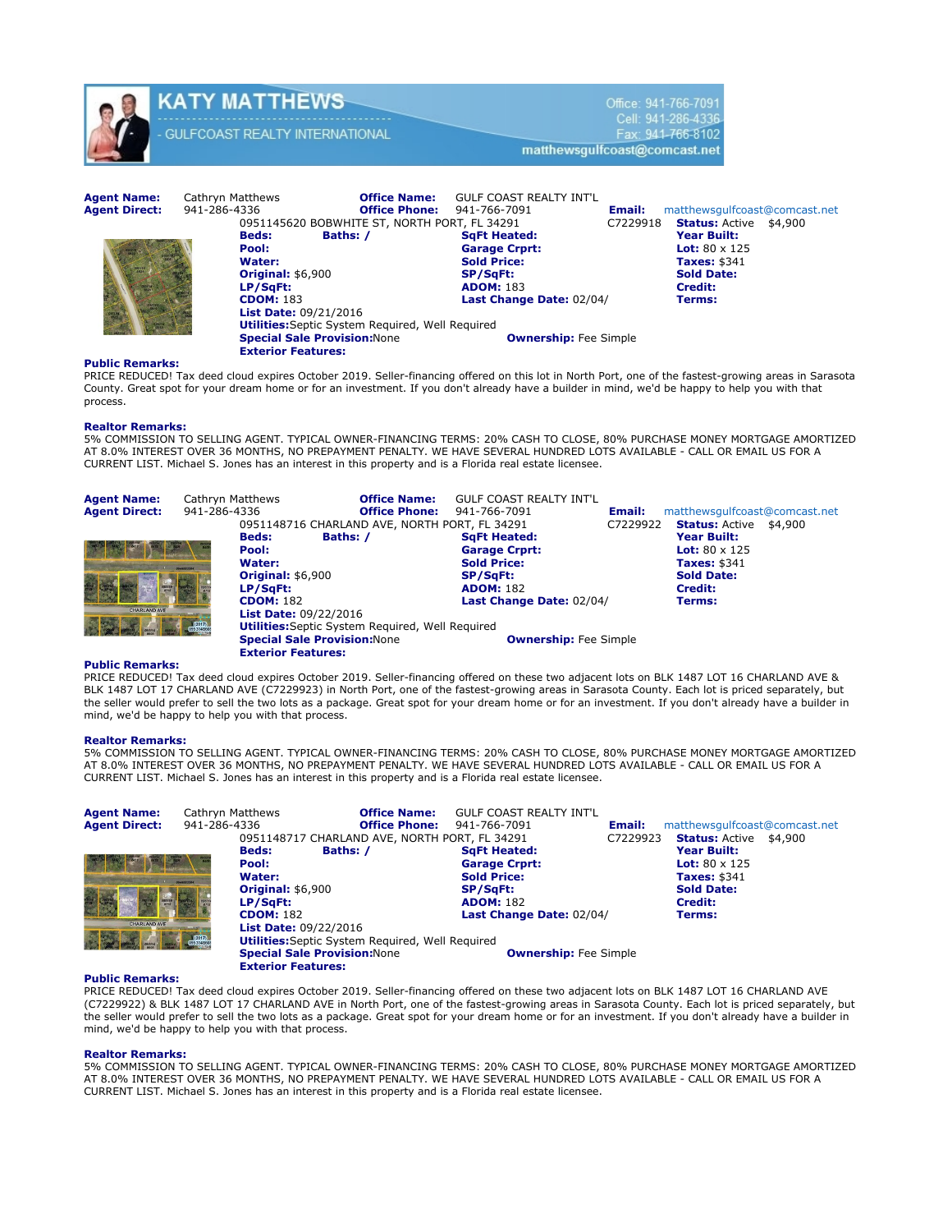

# KATY MATTHEWS **GULFCOAST REALTY INTERNATIONAL**

Office: 941-766-7091 Cell: 941-286-4336 Fax: 941-766-8102 matthewsgulfcoast@comcast.net

Agent Name: Cathryn Matthews **Office Name:** GULF COAST REALTY INT'L **Agent Direct:** 941-786-4336 **Office Phone:** 941-766-7091 Agent Direct: 941-286-4336 **Office Phone:** 941-766-7091 **Email:** matthewsgulfcoast@comcast.net<br>0951145620 BOBWHITE ST, NORTH PORT, FL 34291 **C7229918** Status: Active \$4,900 0951145620 BOBWHITE ST, NORTH PORT, FL 34291 C7229918 **Status:** Active \$4,9000 Bods: **Baths:** / Beds: Baths: / SqFt Heated: Year Built:<br>Pool: Samage Crprt: Carage Crprt: Lot: 80 x 125 Pool: Garage Crprt: Carage Crprt: Garage Crprt: Garage Crprt: Sold Price: Sold Price: Taxes: \$341<br>SP/SqFt: Sold Date: Original: \$6,900 **LP/SqFt: ADOM: 183** Credit: **CDOM: 183** Credit: **CDOM: 183** Credit: Last Change Date: 02/04/2017 Terms: List Date: 09/21/2016 **Utilities:**Septic System Required, Well Required **Special Sale Provision: None Community Community** Community Fee Simple Exterior Features:

# Public Remarks:

PRICE REDUCED! Tax deed cloud expires October 2019. Seller-financing offered on this lot in North Port, one of the fastest-growing areas in Sarasota County. Great spot for your dream home or for an investment. If you don't already have a builder in mind, we'd be happy to help you with that process.

# Realtor Remarks:

5% COMMISSION TO SELLING AGENT. TYPICAL OWNER-FINANCING TERMS: 20% CASH TO CLOSE, 80% PURCHASE MONEY MORTGAGE AMORTIZED AT 8.0% INTEREST OVER 36 MONTHS, NO PREPAYMENT PENALTY. WE HAVE SEVERAL HUNDRED LOTS AVAILABLE - CALL OR EMAIL US FOR A CURRENT LIST. Michael S. Jones has an interest in this property and is a Florida real estate licensee.

| <b>Agent Name:</b><br><b>Agent Direct:</b> | Cathryn Matthews<br>941-286-4336 |                                                                                                                             | <b>Office Name:</b><br><b>Office Phone:</b>                                                    | <b>GULF COAST REALTY INT'L</b><br>941-766-7091                                                                                       | Email:   | matthewsgulfcoast@comcast.net                                                                                                                              |
|--------------------------------------------|----------------------------------|-----------------------------------------------------------------------------------------------------------------------------|------------------------------------------------------------------------------------------------|--------------------------------------------------------------------------------------------------------------------------------------|----------|------------------------------------------------------------------------------------------------------------------------------------------------------------|
| <b>CHARLAND AVE</b>                        |                                  | <b>Beds:</b><br>Pool:<br>Water:<br><b>Original: \$6,900</b><br>LP/SqFt:<br><b>CDOM: 182</b><br><b>List Date: 09/22/2016</b> | 0951148716 CHARLAND AVE, NORTH PORT, FL 34291<br>Baths: /                                      | <b>SqFt Heated:</b><br><b>Garage Crprt:</b><br><b>Sold Price:</b><br><b>SP/SqFt:</b><br><b>ADOM: 182</b><br>Last Change Date: 02/04/ | C7229922 | <b>Status:</b> Active \$4,900<br><b>Year Built:</b><br><b>Lot:</b> $80 \times 125$<br><b>Taxes: \$341</b><br><b>Sold Date:</b><br><b>Credit:</b><br>Terms: |
|                                            | $(2017)$<br>$0953148605$         | <b>Exterior Features:</b>                                                                                                   | <b>Utilities:</b> Septic System Required, Well Required<br><b>Special Sale Provision: None</b> | <b>Ownership:</b> Fee Simple                                                                                                         |          |                                                                                                                                                            |

# Public Remarks:

PRICE REDUCED! Tax deed cloud expires October 2019. Seller-financing offered on these two adjacent lots on BLK 1487 LOT 16 CHARLAND AVE & BLK 1487 LOT 17 CHARLAND AVE (C7229923) in North Port, one of the fastest-growing areas in Sarasota County. Each lot is priced separately, but the seller would prefer to sell the two lots as a package. Great spot for your dream home or for an investment. If you don't already have a builder in mind, we'd be happy to help you with that process.

# Realtor Remarks:

5% COMMISSION TO SELLING AGENT. TYPICAL OWNER-FINANCING TERMS: 20% CASH TO CLOSE, 80% PURCHASE MONEY MORTGAGE AMORTIZED<br>AT 8.0% INTEREST OVER 36 MONTHS, NO PREPAYMENT PENALTY. WE HAVE SEVERAL HUNDRED LOTS AVAILABLE - CALL CURRENT LIST. Michael S. Jones has an interest in this property and is a Florida real estate licensee.

| <b>Agent Name:</b><br><b>Agent Direct:</b>     | Cathryn Matthews<br>941-286-4336 |                                                                                                                                         | <b>Office Name:</b><br><b>Office Phone:</b>               | <b>GULF COAST REALTY INT'L</b><br>941-766-7091 | Email:   | matthewsgulfcoast@comcast.net                      |
|------------------------------------------------|----------------------------------|-----------------------------------------------------------------------------------------------------------------------------------------|-----------------------------------------------------------|------------------------------------------------|----------|----------------------------------------------------|
|                                                |                                  | <b>Beds:</b>                                                                                                                            | 0951148717 CHARLAND AVE, NORTH PORT, FL 34291<br>Baths: / | <b>SqFt Heated:</b>                            | C7229923 | <b>Status: Active</b><br>\$4,900<br>Year Built:    |
|                                                |                                  | Pool:<br>Water:                                                                                                                         |                                                           | <b>Garage Crprt:</b><br><b>Sold Price:</b>     |          | <b>Lot:</b> $80 \times 125$<br><b>Taxes: \$341</b> |
|                                                |                                  | <b>Original: \$6,900</b><br>LP/SqFt:                                                                                                    |                                                           | SP/SqFt:<br><b>ADOM: 182</b>                   |          | <b>Sold Date:</b><br><b>Credit:</b>                |
| <b>CHARLAND AVE</b><br>$(2017)$<br>$095314860$ |                                  | <b>CDOM: 182</b><br>Last Change Date: 02/04/<br><b>List Date: 09/22/2016</b><br><b>Utilities:</b> Septic System Required, Well Required |                                                           |                                                |          | Terms:                                             |
|                                                |                                  | <b>Exterior Features:</b>                                                                                                               | <b>Special Sale Provision: None</b>                       | <b>Ownership:</b> Fee Simple                   |          |                                                    |

# Public Remarks:

PRICE REDUCED! Tax deed cloud expires October 2019. Seller-financing offered on these two adjacent lots on BLK 1487 LOT 16 CHARLAND AVE (C7229922) & BLK 1487 LOT 17 CHARLAND AVE in North Port, one of the fastest-growing areas in Sarasota County. Each lot is priced separately, but the seller would prefer to sell the two lots as a package. Great spot for your dream home or for an investment. If you don't already have a builder in mind, we'd be happy to help you with that process.

# Realtor Remarks: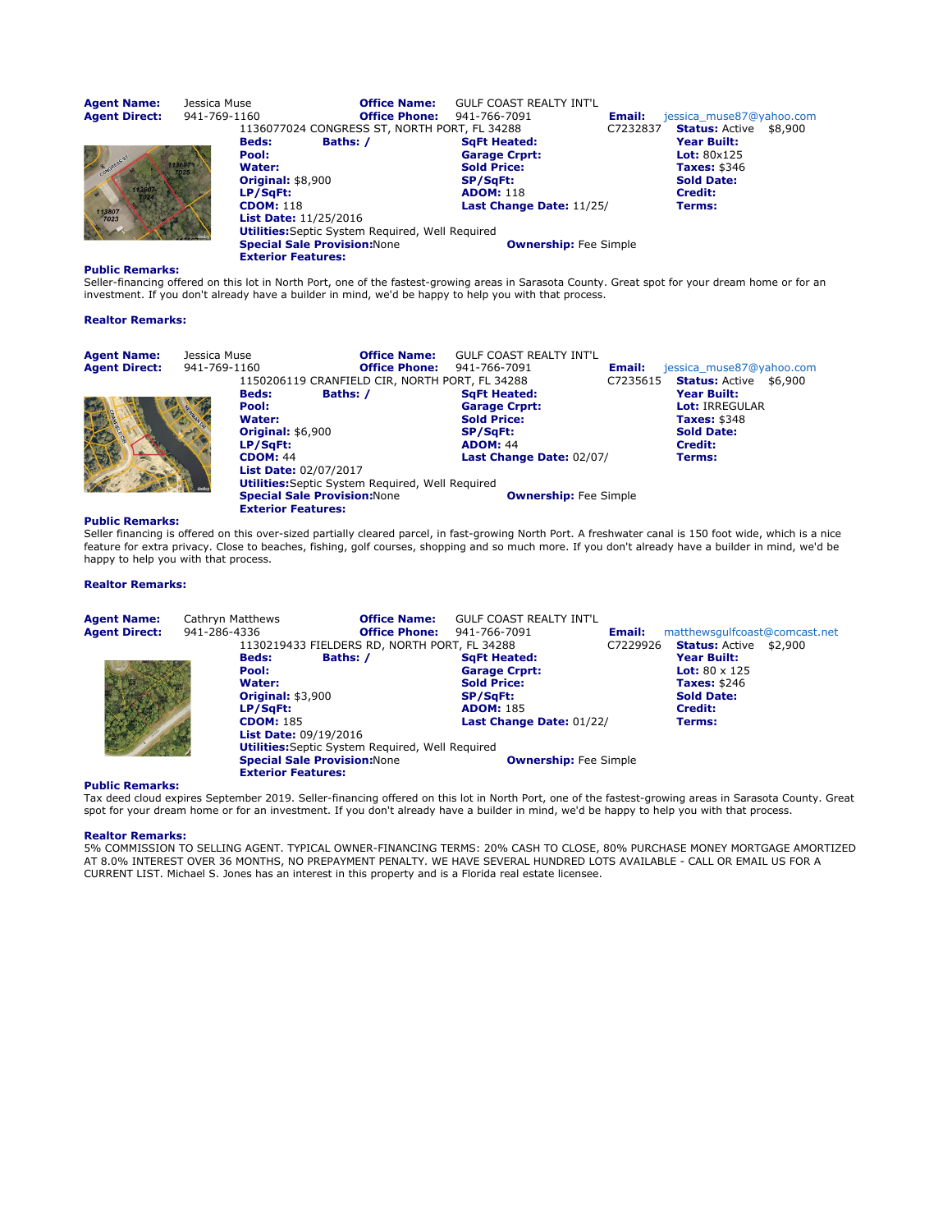| <b>Agent Name:</b><br><b>Agent Direct:</b> | Jessica Muse<br>941-769-1160 |                                                         | <b>Office Name:</b><br><b>Office Phone:</b> | <b>GULF COAST REALTY INT'L</b><br>941-766-7091 | Email:   | jessica muse87@yahoo.com         |
|--------------------------------------------|------------------------------|---------------------------------------------------------|---------------------------------------------|------------------------------------------------|----------|----------------------------------|
|                                            |                              | 1136077024 CONGRESS ST, NORTH PORT, FL 34288            |                                             |                                                | C7232837 | <b>Status: Active</b><br>\$8,900 |
|                                            |                              | Baths: /<br><b>Beds:</b>                                |                                             | <b>SqFt Heated:</b>                            |          | <b>Year Built:</b>               |
|                                            |                              | Pool:                                                   |                                             | <b>Garage Crprt:</b>                           |          | Lot: $80x125$                    |
| CONGRESS ST                                |                              | Water:                                                  |                                             | <b>Sold Price:</b>                             |          | <b>Taxes: \$346</b>              |
|                                            |                              | <b>Original: \$8,900</b>                                |                                             | <b>SP/SqFt:</b>                                |          | <b>Sold Date:</b>                |
|                                            |                              | LP/SqFt:                                                |                                             | <b>ADOM: 118</b>                               |          | Credit:                          |
|                                            |                              | <b>CDOM: 118</b>                                        |                                             | Last Change Date: 11/25/                       |          | Terms:                           |
| 113807<br>7023                             |                              | <b>List Date: 11/25/2016</b>                            |                                             |                                                |          |                                  |
|                                            |                              | <b>Utilities:</b> Septic System Required, Well Required |                                             |                                                |          |                                  |
|                                            |                              | <b>Special Sale Provision: None</b>                     |                                             | <b>Ownership:</b> Fee Simple                   |          |                                  |
|                                            |                              | <b>Exterior Features:</b>                               |                                             |                                                |          |                                  |

Seller-financing offered on this lot in North Port, one of the fastest-growing areas in Sarasota County. Great spot for your dream home or for an investment. If you don't already have a builder in mind, we'd be happy to help you with that process.

# Realtor Remarks:

| <b>Agent Name:</b>   | Jessica Muse                 | <b>Office Name:</b>                                     | <b>GULF COAST REALTY INT'L</b> |          |                               |
|----------------------|------------------------------|---------------------------------------------------------|--------------------------------|----------|-------------------------------|
| <b>Agent Direct:</b> | 941-769-1160                 | <b>Office Phone:</b>                                    | 941-766-7091                   | Email:   | jessica muse87@yahoo.com      |
|                      |                              | 1150206119 CRANFIELD CIR, NORTH PORT, FL 34288          |                                | C7235615 | <b>Status:</b> Active \$6,900 |
|                      | <b>Beds:</b>                 | Baths: /                                                | <b>SqFt Heated:</b>            |          | Year Built:                   |
|                      | Pool:                        |                                                         | <b>Garage Crprt:</b>           |          | <b>Lot: IRREGULAR</b>         |
|                      | Water:                       |                                                         | <b>Sold Price:</b>             |          | <b>Taxes: \$348</b>           |
|                      | <b>Original: \$6,900</b>     |                                                         | <b>SP/SqFt:</b>                |          | <b>Sold Date:</b>             |
|                      | LP/SqFt:                     |                                                         | <b>ADOM: 44</b>                |          | Credit:                       |
|                      | <b>CDOM: 44</b>              |                                                         | Last Change Date: 02/07/       |          | Terms:                        |
|                      | <b>List Date: 02/07/2017</b> |                                                         |                                |          |                               |
|                      |                              | <b>Utilities:</b> Septic System Required, Well Required |                                |          |                               |
|                      |                              | <b>Special Sale Provision: None</b>                     | <b>Ownership:</b> Fee Simple   |          |                               |
|                      | <b>Exterior Features:</b>    |                                                         |                                |          |                               |

# Public Remarks:

Seller financing is offered on this over-sized partially cleared parcel, in fast-growing North Port. A freshwater canal is 150 foot wide, which is a nice feature for extra privacy. Close to beaches, fishing, golf courses, shopping and so much more. If you don't already have a builder in mind, we'd be happy to help you with that process.

# Realtor Remarks:

| <b>Agent Name:</b><br><b>Agent Direct:</b> | Cathryn Matthews<br>941-286-4336 |                                                                                                                             | <b>Office Name:</b><br><b>Office Phone:</b>                                                    | <b>GULF COAST REALTY INT'L</b><br>941-766-7091                                                                                | Email:   | matthewsgulfcoast@comcast.net                                                                                                                       |  |
|--------------------------------------------|----------------------------------|-----------------------------------------------------------------------------------------------------------------------------|------------------------------------------------------------------------------------------------|-------------------------------------------------------------------------------------------------------------------------------|----------|-----------------------------------------------------------------------------------------------------------------------------------------------------|--|
|                                            |                                  | <b>Beds:</b><br>Pool:<br>Water:<br><b>Original: \$3,900</b><br>LP/SaFt:<br><b>CDOM: 185</b><br><b>List Date: 09/19/2016</b> | 1130219433 FIELDERS RD, NORTH PORT, FL 34288<br>Baths: /                                       | <b>SqFt Heated:</b><br><b>Garage Crprt:</b><br><b>Sold Price:</b><br>SP/SqFt:<br><b>ADOM: 185</b><br>Last Change Date: 01/22/ | C7229926 | <b>Status: Active \$2,900</b><br><b>Year Built:</b><br><b>Lot:</b> $80 \times 125$<br><b>Taxes: \$246</b><br><b>Sold Date:</b><br>Credit:<br>Terms: |  |
|                                            |                                  | <b>Exterior Features:</b>                                                                                                   | <b>Utilities:</b> Septic System Required, Well Required<br><b>Special Sale Provision: None</b> | <b>Ownership:</b> Fee Simple                                                                                                  |          |                                                                                                                                                     |  |

# Public Remarks:

Tax deed cloud expires September 2019. Seller-financing offered on this lot in North Port, one of the fastest-growing areas in Sarasota County. Great<br>spot for your dream home or for an investment. If you don't already have

# Realtor Remarks: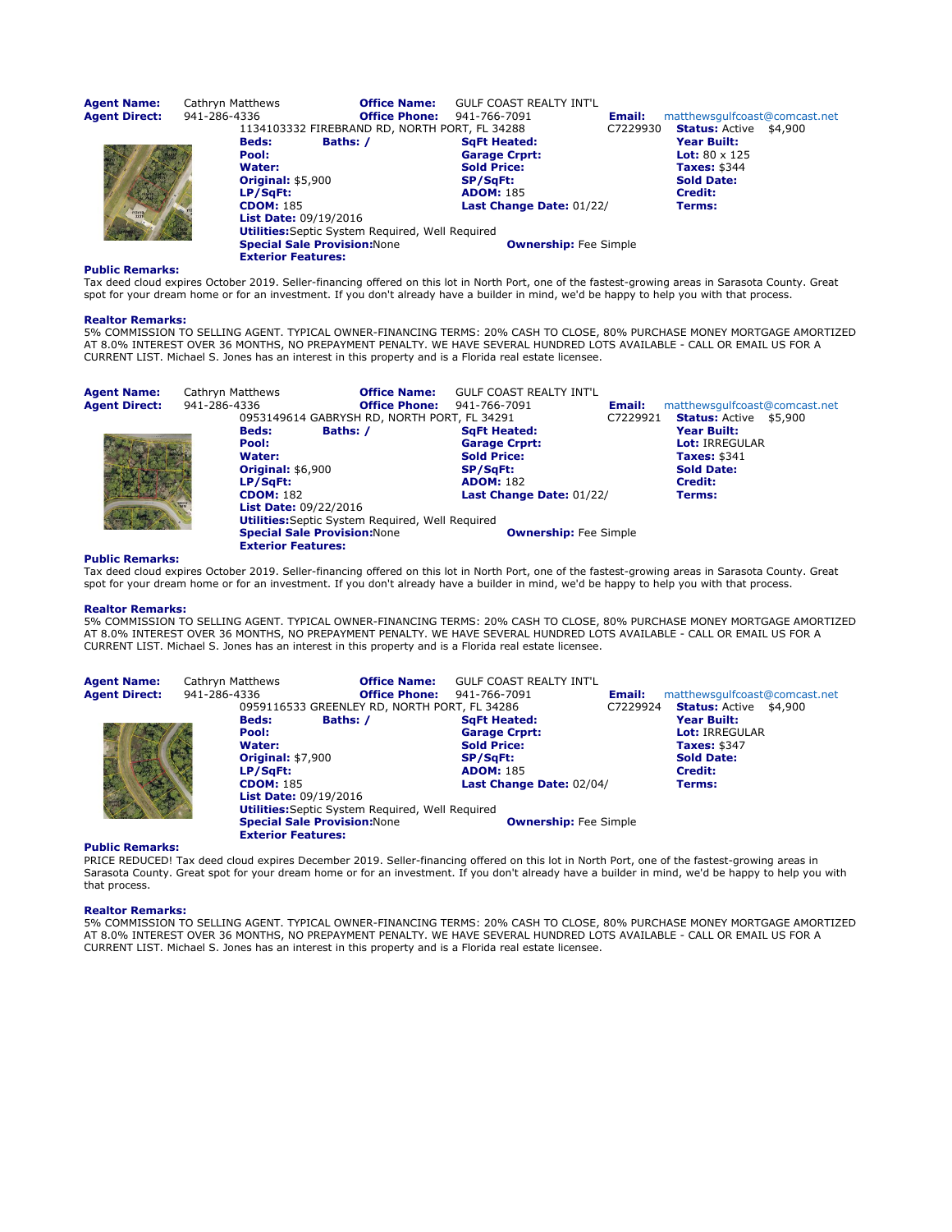| <b>Agent Name:</b><br><b>Agent Direct:</b> | Cathryn Matthews<br>941-286-4336                                                                                            | <b>Office Name:</b><br><b>Office Phone:</b>                                                    | <b>GULF COAST REALTY INT'L</b><br>941-766-7091                                                                                | Email:   | matthewsgulfcoast@comcast.net                                                                                                                |  |
|--------------------------------------------|-----------------------------------------------------------------------------------------------------------------------------|------------------------------------------------------------------------------------------------|-------------------------------------------------------------------------------------------------------------------------------|----------|----------------------------------------------------------------------------------------------------------------------------------------------|--|
| 11341                                      | <b>Beds:</b><br>Pool:<br>Water:<br><b>Original: \$5,900</b><br>LP/SqFt:<br><b>CDOM: 185</b><br><b>List Date: 09/19/2016</b> | 1134103332 FIREBRAND RD, NORTH PORT, FL 34288<br>Baths: /                                      | <b>SqFt Heated:</b><br><b>Garage Crprt:</b><br><b>Sold Price:</b><br>SP/SqFt:<br><b>ADOM: 185</b><br>Last Change Date: 01/22/ | C7229930 | <b>Status: Active \$4,900</b><br>Year Built:<br><b>Lot:</b> $80 \times 125$<br>Taxes: \$344<br><b>Sold Date:</b><br><b>Credit:</b><br>Terms: |  |
|                                            | <b>Exterior Features:</b>                                                                                                   | <b>Utilities:</b> Septic System Required, Well Required<br><b>Special Sale Provision: None</b> | <b>Ownership:</b> Fee Simple                                                                                                  |          |                                                                                                                                              |  |

Tax deed cloud expires October 2019. Seller-financing offered on this lot in North Port, one of the fastest-growing areas in Sarasota County. Great spot for your dream home or for an investment. If you don't already have a builder in mind, we'd be happy to help you with that process.

#### Realtor Remarks:

5% COMMISSION TO SELLING AGENT. TYPICAL OWNER-FINANCING TERMS: 20% CASH TO CLOSE, 80% PURCHASE MONEY MORTGAGE AMORTIZED AT 8.0% INTEREST OVER 36 MONTHS, NO PREPAYMENT PENALTY. WE HAVE SEVERAL HUNDRED LOTS AVAILABLE - CALL OR EMAIL US FOR A CURRENT LIST. Michael S. Jones has an interest in this property and is a Florida real estate licensee.

| <b>Agent Name:</b>   | Cathryn Matthews |                                     | <b>Office Name:</b>                                     | <b>GULF COAST REALTY INT'L</b> |          |                               |
|----------------------|------------------|-------------------------------------|---------------------------------------------------------|--------------------------------|----------|-------------------------------|
| <b>Agent Direct:</b> | 941-286-4336     |                                     | <b>Office Phone:</b>                                    | 941-766-7091                   | Email:   | matthewsqulfcoast@comcast.net |
|                      |                  |                                     | 0953149614 GABRYSH RD, NORTH PORT, FL 34291             |                                | C7229921 | <b>Status: Active \$5,900</b> |
|                      |                  | <b>Beds:</b>                        | Baths: /                                                | <b>SqFt Heated:</b>            |          | Year Built:                   |
|                      |                  | Pool:                               |                                                         | <b>Garage Crprt:</b>           |          | <b>Lot: IRREGULAR</b>         |
|                      |                  | Water:                              |                                                         | <b>Sold Price:</b>             |          | <b>Taxes: \$341</b>           |
|                      |                  | <b>Original: \$6,900</b>            |                                                         | <b>SP/SaFt:</b>                |          | <b>Sold Date:</b>             |
|                      |                  | LP/SaFt:                            |                                                         | <b>ADOM: 182</b>               |          | Credit:                       |
|                      |                  | <b>CDOM: 182</b>                    |                                                         | Last Change Date: 01/22/       |          | Terms:                        |
|                      |                  | <b>List Date: 09/22/2016</b>        |                                                         |                                |          |                               |
|                      |                  |                                     | <b>Utilities:</b> Septic System Required, Well Required |                                |          |                               |
|                      |                  | <b>Special Sale Provision: None</b> |                                                         | <b>Ownership:</b> Fee Simple   |          |                               |
|                      |                  | <b>Exterior Features:</b>           |                                                         |                                |          |                               |

# Public Remarks:

Tax deed cloud expires October 2019. Seller-financing offered on this lot in North Port, one of the fastest-growing areas in Sarasota County. Great spot for your dream home or for an investment. If you don't already have a builder in mind, we'd be happy to help you with that process.

# Realtor Remarks:

5% COMMISSION TO SELLING AGENT. TYPICAL OWNER-FINANCING TERMS: 20% CASH TO CLOSE, 80% PURCHASE MONEY MORTGAGE AMORTIZED AT 8.0% INTEREST OVER 36 MONTHS, NO PREPAYMENT PENALTY. WE HAVE SEVERAL HUNDRED LOTS AVAILABLE - CALL OR EMAIL US FOR A<br>CURRENT LIST. Michael S. Jones has an interest in this property and is a Florida real estate licensee.

| Agent Name:   | Cathryn Matthews             | <b>Office Name:</b>                          | <b>GULF COAST REALTY INT'L</b>                          |                                     |                               |  |
|---------------|------------------------------|----------------------------------------------|---------------------------------------------------------|-------------------------------------|-------------------------------|--|
| Agent Direct: | 941-286-4336                 | <b>Office Phone:</b>                         | 941-766-7091                                            | Email:                              | matthewsgulfcoast@comcast.net |  |
|               |                              | 0959116533 GREENLEY RD, NORTH PORT, FL 34286 |                                                         | C7229924                            | <b>Status:</b> Active \$4,900 |  |
|               | <b>Beds:</b>                 | Baths: /                                     | <b>SaFt Heated:</b>                                     |                                     | <b>Year Built:</b>            |  |
|               | Pool:                        |                                              | <b>Garage Crprt:</b>                                    |                                     | <b>Lot: IRREGULAR</b>         |  |
|               | Water:                       |                                              | <b>Sold Price:</b>                                      |                                     | <b>Taxes: \$347</b>           |  |
|               | <b>Original: \$7,900</b>     |                                              | <b>SP/SqFt:</b>                                         | <b>Sold Date:</b><br><b>Credit:</b> |                               |  |
|               | LP/SaFt:                     |                                              | <b>ADOM: 185</b>                                        |                                     |                               |  |
|               | <b>CDOM: 185</b>             |                                              | Last Change Date: 02/04/                                |                                     | Terms:                        |  |
|               | <b>List Date: 09/19/2016</b> |                                              |                                                         |                                     |                               |  |
|               |                              |                                              | <b>Utilities:</b> Septic System Required, Well Required |                                     |                               |  |
|               |                              | <b>Special Sale Provision: None</b>          | <b>Ownership:</b> Fee Simple                            |                                     |                               |  |
|               | <b>Exterior Features:</b>    |                                              |                                                         |                                     |                               |  |

# Public Remarks:

PRICE REDUCED! Tax deed cloud expires December 2019. Seller-financing offered on this lot in North Port, one of the fastest-growing areas in Sarasota County. Great spot for your dream home or for an investment. If you don't already have a builder in mind, we'd be happy to help you with that process.

#### Realtor Remarks: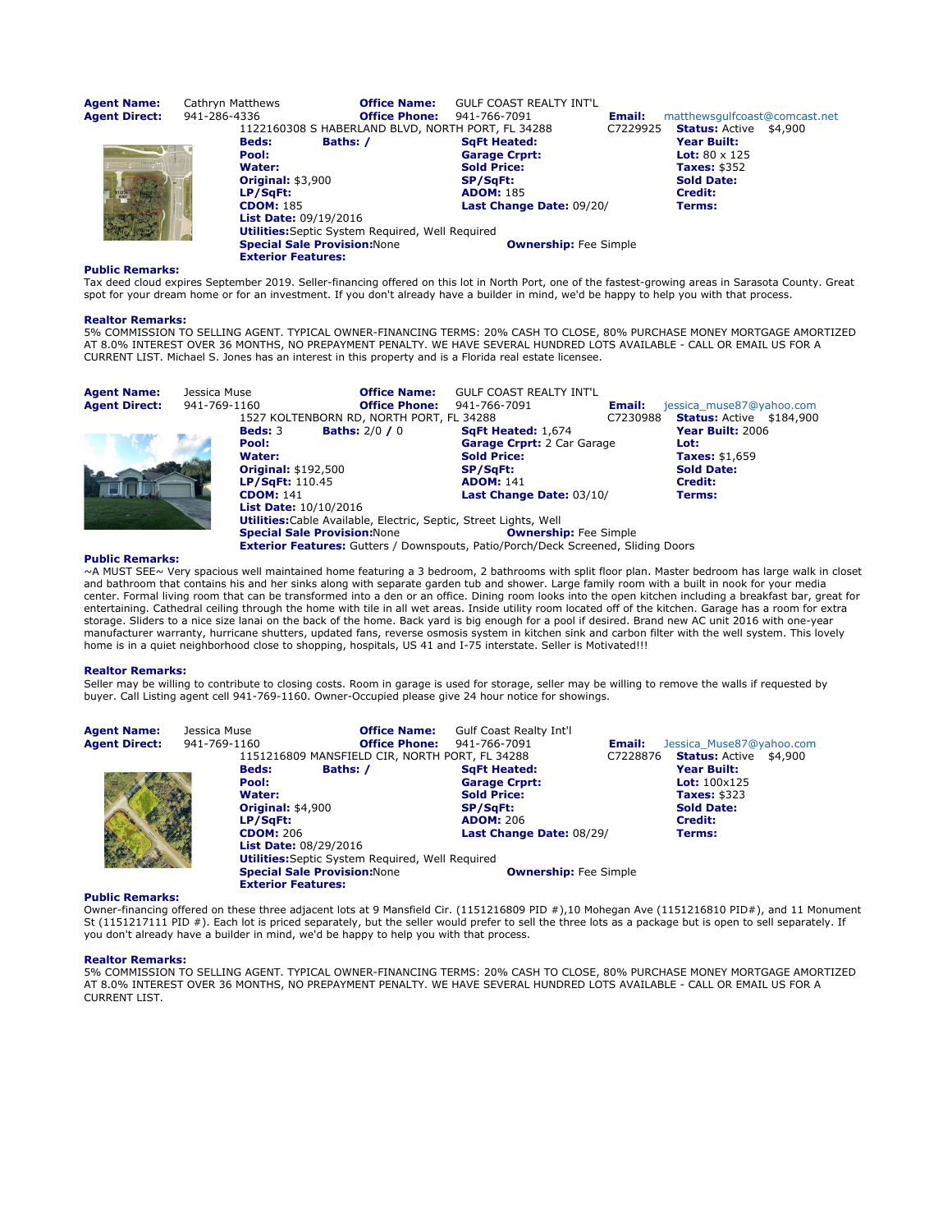| <b>Agent Name:</b><br><b>Agent Direct:</b> | Cathryn Matthews<br>941-286-4336                                                                                            | <b>Office Name:</b><br><b>Office Phone:</b><br>1122160308 S HABERLAND BLVD, NORTH PORT, FL 34288 | <b>GULF COAST REALTY INT'L</b><br>941-766-7091                                                                                | Email:<br>C7229925 | matthewsgulfcoast@comcast.net<br><b>Status:</b> Active \$4,900                                       |  |
|--------------------------------------------|-----------------------------------------------------------------------------------------------------------------------------|--------------------------------------------------------------------------------------------------|-------------------------------------------------------------------------------------------------------------------------------|--------------------|------------------------------------------------------------------------------------------------------|--|
| 112216                                     | <b>Beds:</b><br>Pool:<br>Water:<br><b>Original: \$3,900</b><br>LP/SaFt:<br><b>CDOM: 185</b><br><b>List Date: 09/19/2016</b> | Baths: /                                                                                         | <b>SqFt Heated:</b><br><b>Garage Crprt:</b><br><b>Sold Price:</b><br>SP/SqFt:<br><b>ADOM: 185</b><br>Last Change Date: 09/20/ |                    | Year Built:<br><b>Lot:</b> $80 \times 125$<br>Taxes: \$352<br><b>Sold Date:</b><br>Credit:<br>Terms: |  |
|                                            | <b>Special Sale Provision: None</b><br><b>Exterior Features:</b>                                                            | <b>Utilities:</b> Septic System Required, Well Required                                          | <b>Ownership:</b> Fee Simple                                                                                                  |                    |                                                                                                      |  |

Tax deed cloud expires September 2019. Seller-financing offered on this lot in North Port, one of the fastest-growing areas in Sarasota County. Great spot for your dream home or for an investment. If you don't already have a builder in mind, we'd be happy to help you with that process.

#### Realtor Remarks:

5% COMMISSION TO SELLING AGENT. TYPICAL OWNER-FINANCING TERMS: 20% CASH TO CLOSE, 80% PURCHASE MONEY MORTGAGE AMORTIZED AT 8.0% INTEREST OVER 36 MONTHS, NO PREPAYMENT PENALTY. WE HAVE SEVERAL HUNDRED LOTS AVAILABLE - CALL OR EMAIL US FOR A CURRENT LIST. Michael S. Jones has an interest in this property and is a Florida real estate licensee.

| <b>Agent Name:</b><br><b>Agent Direct:</b> | Jessica Muse<br>941-769-1160 |                                                                                                                                        | <b>Office Name:</b><br><b>Office Phone:</b><br>1527 KOLTENBORN RD, NORTH PORT, FL 34288                  | <b>GULF COAST REALTY INT'L</b><br>941-766-7091                                                                                                   | Email:<br>C7230988 | jessica muse87@yahoo.com<br><b>Status: Active \$184,900</b>                                        |
|--------------------------------------------|------------------------------|----------------------------------------------------------------------------------------------------------------------------------------|----------------------------------------------------------------------------------------------------------|--------------------------------------------------------------------------------------------------------------------------------------------------|--------------------|----------------------------------------------------------------------------------------------------|
|                                            |                              | <b>Beds: 3</b><br>Pool:<br>Water:<br><b>Original: \$192,500</b><br>LP/SaFt: 110.45<br><b>CDOM: 141</b><br><b>List Date: 10/10/2016</b> | <b>Baths:</b> $2/0/0$                                                                                    | <b>SqFt Heated: 1,674</b><br>Garage Crprt: 2 Car Garage<br><b>Sold Price:</b><br><b>SP/SqFt:</b><br><b>ADOM: 141</b><br>Last Change Date: 03/10/ |                    | Year Built: 2006<br>Lot:<br><b>Taxes: \$1,659</b><br><b>Sold Date:</b><br><b>Credit:</b><br>Terms: |
|                                            |                              |                                                                                                                                        | Utilities: Cable Available, Electric, Septic, Street Lights, Well<br><b>Special Sale Provision: None</b> | <b>Ownership:</b> Fee Simple<br><b>Exterior Features:</b> Gutters / Downspouts, Patio/Porch/Deck Screened, Sliding Doors                         |                    |                                                                                                    |

# Public Remarks:

~A MUST SEE~ Very spacious well maintained home featuring a 3 bedroom, 2 bathrooms with split floor plan. Master bedroom has large walk in closet and bathroom that contains his and her sinks along with separate garden tub and shower. Large family room with a built in nook for your media center. Formal living room that can be transformed into a den or an office. Dining room looks into the open kitchen including a breakfast bar, great for entertaining. Cathedral ceiling through the home with tile in all wet areas. Inside utility room located off of the kitchen. Garage has a room for extra storage. Sliders to a nice size lanai on the back of the home. Back yard is big enough for a pool if desired. Brand new AC unit 2016 with one-year manufacturer warranty, hurricane shutters, updated fans, reverse osmosis system in kitchen sink and carbon filter with the well system. This lovely home is in a quiet neighborhood close to shopping, hospitals, US 41 and I-75 interstate. Seller is Motivated!!!

#### Realtor Remarks:

Seller may be willing to contribute to closing costs. Room in garage is used for storage, seller may be willing to remove the walls if requested by buyer. Call Listing agent cell 941-769-1160. Owner-Occupied please give 24 hour notice for showings.

| <b>Agent Name:</b>   | Jessica Muse              | <b>Office Name:</b>                                     | <b>Gulf Coast Realty Int'l</b> |          |                               |  |
|----------------------|---------------------------|---------------------------------------------------------|--------------------------------|----------|-------------------------------|--|
| <b>Agent Direct:</b> | 941-769-1160              | <b>Office Phone:</b>                                    | 941-766-7091                   | Email:   | Jessica Muse87@yahoo.com      |  |
|                      |                           | 1151216809 MANSFIELD CIR, NORTH PORT, FL 34288          |                                | C7228876 | <b>Status: Active \$4,900</b> |  |
|                      | <b>Beds:</b>              | Baths: /                                                | <b>SqFt Heated:</b>            |          | <b>Year Built:</b>            |  |
|                      | Pool:                     |                                                         | <b>Garage Crprt:</b>           |          | <b>Lot:</b> $100x125$         |  |
|                      | Water:                    |                                                         | <b>Sold Price:</b>             |          | <b>Taxes: \$323</b>           |  |
|                      | <b>Original: \$4,900</b>  |                                                         | <b>SP/SqFt:</b>                |          | <b>Sold Date:</b>             |  |
|                      | LP/SaFt:                  |                                                         | <b>ADOM: 206</b>               |          | Credit:                       |  |
|                      | <b>CDOM: 206</b>          |                                                         | Last Change Date: 08/29/       |          | Terms:                        |  |
|                      |                           | <b>List Date: 08/29/2016</b>                            |                                |          |                               |  |
|                      |                           | <b>Utilities:</b> Septic System Required, Well Required |                                |          |                               |  |
|                      |                           | <b>Special Sale Provision: None</b>                     | <b>Ownership:</b> Fee Simple   |          |                               |  |
|                      | <b>Exterior Features:</b> |                                                         |                                |          |                               |  |

# Public Remarks:

Owner-financing offered on these three adjacent lots at 9 Mansfield Cir. (1151216809 PID #),10 Mohegan Ave (1151216810 PID#), and 11 Monument St (1151217111 PID #). Each lot is priced separately, but the seller would prefer to sell the three lots as a package but is open to sell separately. If you don't already have a builder in mind, we'd be happy to help you with that process.

# Realtor Remarks:

5% COMMISSION TO SELLING AGENT. TYPICAL OWNER-FINANCING TERMS: 20% CASH TO CLOSE, 80% PURCHASE MONEY MORTGAGE AMORTIZED AT 8.0% INTEREST OVER 36 MONTHS, NO PREPAYMENT PENALTY. WE HAVE SEVERAL HUNDRED LOTS AVAILABLE - CALL OR EMAIL US FOR A CURRENT LIST.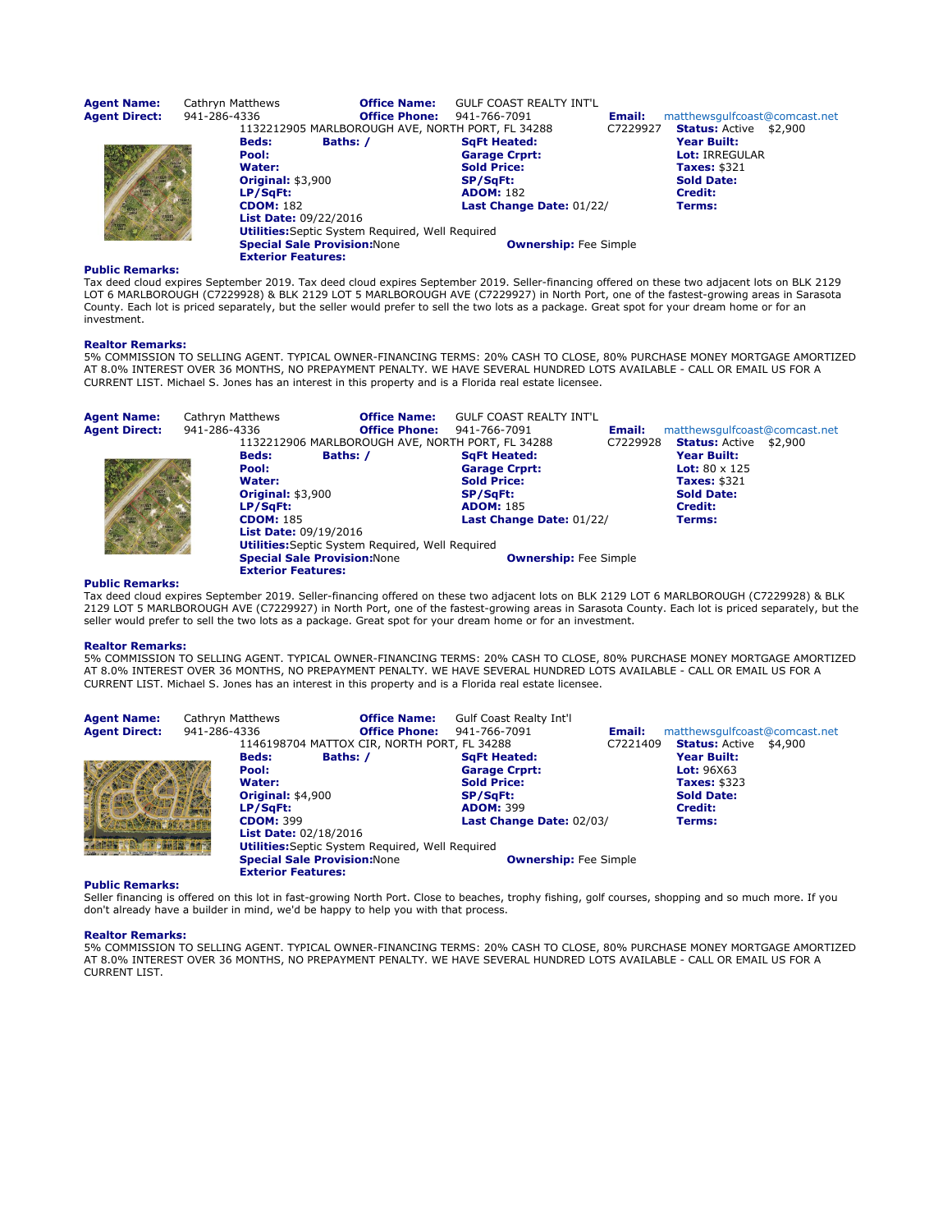| <b>Agent Name:</b><br><b>Agent Direct:</b> | Cathryn Matthews<br>941-286-4336 |                                                                                                      | <b>Office Name:</b><br><b>Office Phone:</b>             | <b>GULF COAST REALTY INT'L</b><br>941-766-7091<br>1132212905 MARLBOROUGH AVE, NORTH PORT, FL 34288                            | Email:<br>C7229927 | matthewsgulfcoast@comcast.net<br><b>Status: Active \$2,900</b>                                 |
|--------------------------------------------|----------------------------------|------------------------------------------------------------------------------------------------------|---------------------------------------------------------|-------------------------------------------------------------------------------------------------------------------------------|--------------------|------------------------------------------------------------------------------------------------|
|                                            | <b>Beds:</b><br>Pool:<br>Water:  | Baths: /<br><b>Original: \$3,900</b><br>LP/SaFt:<br><b>CDOM: 182</b><br><b>List Date: 09/22/2016</b> |                                                         | <b>SqFt Heated:</b><br><b>Garage Crprt:</b><br><b>Sold Price:</b><br>SP/SqFt:<br><b>ADOM: 182</b><br>Last Change Date: 01/22/ |                    | Year Built:<br>Lot: IRREGULAR<br>Taxes: \$321<br><b>Sold Date:</b><br><b>Credit:</b><br>Terms: |
|                                            |                                  | <b>Special Sale Provision: None</b><br><b>Exterior Features:</b>                                     | <b>Utilities:</b> Septic System Required, Well Required | <b>Ownership:</b> Fee Simple                                                                                                  |                    |                                                                                                |

Tax deed cloud expires September 2019. Tax deed cloud expires September 2019. Seller-financing offered on these two adjacent lots on BLK 2129 LOT 6 MARLBOROUGH (C7229928) & BLK 2129 LOT 5 MARLBOROUGH AVE (C7229927) in North Port, one of the fastest-growing areas in Sarasota County. Each lot is priced separately, but the seller would prefer to sell the two lots as a package. Great spot for your dream home or for an investment.

# Realtor Remarks:

5% COMMISSION TO SELLING AGENT. TYPICAL OWNER-FINANCING TERMS: 20% CASH TO CLOSE, 80% PURCHASE MONEY MORTGAGE AMORTIZED<br>AT 8.0% INTEREST OVER 36 MONTHS, NO PREPAYMENT PENALTY. WE HAVE SEVERAL HUNDRED LOTS AVAILABLE - CALL CURRENT LIST. Michael S. Jones has an interest in this property and is a Florida real estate licensee.

| <b>Agent Name:</b> | Cathryn Matthews                    | <b>Office Name:</b>                                     | <b>GULF COAST REALTY INT'L</b> |          |                               |  |
|--------------------|-------------------------------------|---------------------------------------------------------|--------------------------------|----------|-------------------------------|--|
| Agent Direct:      | 941-286-4336                        | <b>Office Phone:</b>                                    | 941-766-7091                   | Email:   | matthewsgulfcoast@comcast.net |  |
|                    |                                     | 1132212906 MARLBOROUGH AVE, NORTH PORT, FL 34288        |                                | C7229928 | <b>Status:</b> Active \$2,900 |  |
|                    | <b>Beds:</b>                        | Baths: /                                                | <b>SqFt Heated:</b>            |          | Year Built:                   |  |
|                    | Pool:                               |                                                         | <b>Garage Crprt:</b>           |          | <b>Lot:</b> $80 \times 125$   |  |
|                    | Water:                              |                                                         | <b>Sold Price:</b>             |          | <b>Taxes: \$321</b>           |  |
|                    | <b>Original: \$3,900</b>            |                                                         | <b>SP/SqFt:</b>                |          | <b>Sold Date:</b>             |  |
|                    | LP/SaFt:                            |                                                         | <b>ADOM: 185</b>               |          | <b>Credit:</b>                |  |
|                    | <b>CDOM: 185</b>                    |                                                         | Last Change Date: 01/22/       |          | Terms:                        |  |
|                    | <b>List Date: 09/19/2016</b>        |                                                         |                                |          |                               |  |
|                    |                                     | <b>Utilities:</b> Septic System Required, Well Required |                                |          |                               |  |
|                    | <b>Special Sale Provision: None</b> |                                                         | <b>Ownership:</b> Fee Simple   |          |                               |  |
|                    | <b>Exterior Features:</b>           |                                                         |                                |          |                               |  |

#### Public Remarks:

Tax deed cloud expires September 2019. Seller-financing offered on these two adjacent lots on BLK 2129 LOT 6 MARLBOROUGH (C7229928) & BLK 2129 LOT 5 MARLBOROUGH AVE (C7229927) in North Port, one of the fastest-growing areas in Sarasota County. Each lot is priced separately, but the seller would prefer to sell the two lots as a package. Great spot for your dream home or for an investment.

#### Realtor Remarks:

5% COMMISSION TO SELLING AGENT. TYPICAL OWNER-FINANCING TERMS: 20% CASH TO CLOSE, 80% PURCHASE MONEY MORTGAGE AMORTIZED AT 8.0% INTEREST OVER 36 MONTHS, NO PREPAYMENT PENALTY. WE HAVE SEVERAL HUNDRED LOTS AVAILABLE - CALL OR EMAIL US FOR A CURRENT LIST. Michael S. Jones has an interest in this property and is a Florida real estate licensee.

| <b>Agent Name:</b>   | Cathryn Matthews |                              | <b>Office Name:</b>                                     | <b>Gulf Coast Realty Int'l</b> |          |                               |  |
|----------------------|------------------|------------------------------|---------------------------------------------------------|--------------------------------|----------|-------------------------------|--|
| <b>Agent Direct:</b> | 941-286-4336     |                              | <b>Office Phone:</b>                                    | 941-766-7091                   | Email:   | matthewsgulfcoast@comcast.net |  |
|                      |                  |                              | 1146198704 MATTOX CIR, NORTH PORT, FL 34288             |                                | C7221409 | <b>Status: Active \$4,900</b> |  |
|                      |                  | <b>Beds:</b>                 | Baths: /                                                | <b>SqFt Heated:</b>            |          | Year Built:                   |  |
|                      |                  | Pool:                        |                                                         | <b>Garage Crprt:</b>           |          | <b>Lot:</b> $96X63$           |  |
|                      |                  | Water:                       |                                                         | <b>Sold Price:</b>             |          | <b>Taxes: \$323</b>           |  |
|                      |                  | <b>Original: \$4,900</b>     |                                                         | <b>SP/SqFt:</b>                |          | <b>Sold Date:</b>             |  |
|                      |                  | LP/SaFt:                     |                                                         | <b>ADOM: 399</b>               |          | Credit:                       |  |
|                      |                  | <b>CDOM: 399</b>             |                                                         | Last Change Date: 02/03/       |          | Terms:                        |  |
|                      |                  | <b>List Date: 02/18/2016</b> |                                                         |                                |          |                               |  |
|                      |                  |                              | <b>Utilities:</b> Septic System Required, Well Required |                                |          |                               |  |
|                      |                  |                              | <b>Special Sale Provision: None</b>                     | <b>Ownership:</b> Fee Simple   |          |                               |  |
|                      |                  | <b>Exterior Features:</b>    |                                                         |                                |          |                               |  |

#### Public Remarks:

Seller financing is offered on this lot in fast-growing North Port. Close to beaches, trophy fishing, golf courses, shopping and so much more. If you don't already have a builder in mind, we'd be happy to help you with that process.

#### Realtor Remarks:

5% COMMISSION TO SELLING AGENT. TYPICAL OWNER-FINANCING TERMS: 20% CASH TO CLOSE, 80% PURCHASE MONEY MORTGAGE AMORTIZED AT 8.0% INTEREST OVER 36 MONTHS, NO PREPAYMENT PENALTY. WE HAVE SEVERAL HUNDRED LOTS AVAILABLE - CALL OR EMAIL US FOR A CURRENT LIST.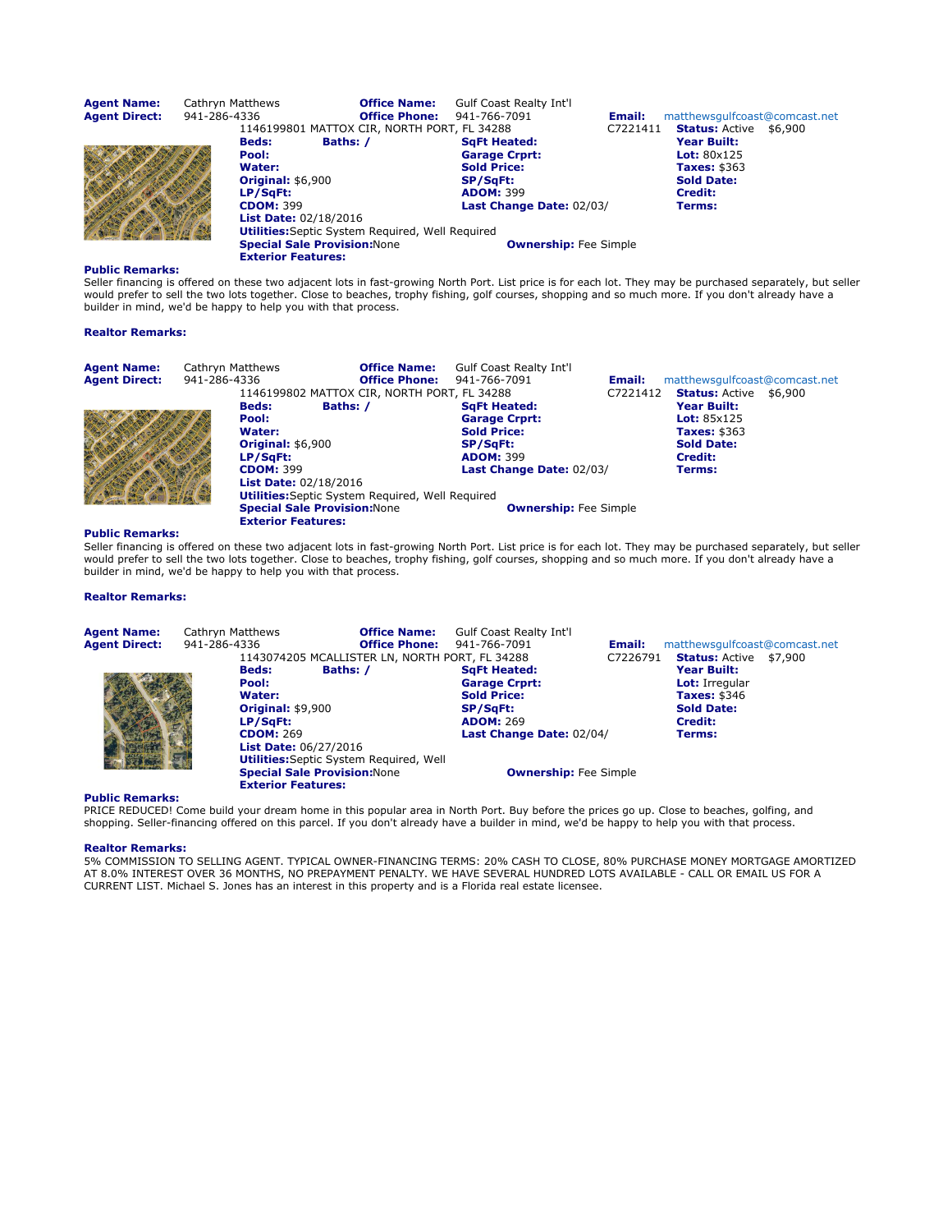| <b>Agent Name:</b><br><b>Agent Direct:</b> | Cathryn Matthews<br>941-286-4336 |                                                                                                                             | <b>Office Name:</b><br><b>Office Phone:</b>                                                    | <b>Gulf Coast Realty Int'l</b><br>941-766-7091                                                                                | Email:   | matthewsgulfcoast@comcast.net                                                                                                         |
|--------------------------------------------|----------------------------------|-----------------------------------------------------------------------------------------------------------------------------|------------------------------------------------------------------------------------------------|-------------------------------------------------------------------------------------------------------------------------------|----------|---------------------------------------------------------------------------------------------------------------------------------------|
|                                            |                                  | <b>Beds:</b><br>Pool:<br>Water:<br><b>Original: \$6,900</b><br>LP/SqFt:<br><b>CDOM: 399</b><br><b>List Date: 02/18/2016</b> | 1146199801 MATTOX CIR, NORTH PORT, FL 34288<br>Baths: /                                        | <b>SqFt Heated:</b><br><b>Garage Crprt:</b><br><b>Sold Price:</b><br>SP/SqFt:<br><b>ADOM: 399</b><br>Last Change Date: 02/03/ | C7221411 | <b>Status: Active \$6,900</b><br>Year Built:<br>Lot: $80x125$<br><b>Taxes: \$363</b><br><b>Sold Date:</b><br><b>Credit:</b><br>Terms: |
|                                            |                                  | <b>Exterior Features:</b>                                                                                                   | <b>Utilities:</b> Septic System Required, Well Required<br><b>Special Sale Provision: None</b> | <b>Ownership:</b> Fee Simple                                                                                                  |          |                                                                                                                                       |

Seller financing is offered on these two adjacent lots in fast-growing North Port. List price is for each lot. They may be purchased separately, but seller would prefer to sell the two lots together. Close to beaches, trophy fishing, golf courses, shopping and so much more. If you don't already have a builder in mind, we'd be happy to help you with that process.

# Realtor Remarks:

| <b>Agent Name:</b><br><b>Agent Direct:</b> | Cathryn Matthews<br>941-286-4336 |                                                                                                                             | <b>Office Name:</b><br><b>Office Phone:</b>                                                                        | <b>Gulf Coast Realty Int'l</b><br>941-766-7091                                                                                | Email:   | matthewsgulfcoast@comcast.net                                                                                                                                |  |
|--------------------------------------------|----------------------------------|-----------------------------------------------------------------------------------------------------------------------------|--------------------------------------------------------------------------------------------------------------------|-------------------------------------------------------------------------------------------------------------------------------|----------|--------------------------------------------------------------------------------------------------------------------------------------------------------------|--|
|                                            |                                  | <b>Beds:</b><br>Pool:<br>Water:<br><b>Original: \$6,900</b><br>LP/SqFt:<br><b>CDOM: 399</b><br><b>List Date: 02/18/2016</b> | 1146199802 MATTOX CIR, NORTH PORT, FL 34288<br>Baths: /<br><b>Utilities:</b> Septic System Required, Well Required | <b>SqFt Heated:</b><br><b>Garage Crprt:</b><br><b>Sold Price:</b><br>SP/SqFt:<br><b>ADOM: 399</b><br>Last Change Date: 02/03/ | C7221412 | <b>Status: Active \$6,900</b><br>Year Built:<br><b>Lot: 85<math>\times</math>125</b><br><b>Taxes: \$363</b><br><b>Sold Date:</b><br><b>Credit:</b><br>Terms: |  |
|                                            |                                  | <b>Special Sale Provision: None</b><br><b>Exterior Features:</b>                                                            |                                                                                                                    | <b>Ownership:</b> Fee Simple                                                                                                  |          |                                                                                                                                                              |  |

# Public Remarks:

Seller financing is offered on these two adjacent lots in fast-growing North Port. List price is for each lot. They may be purchased separately, but seller<br>would prefer to sell the two lots together. Close to beaches, trop builder in mind, we'd be happy to help you with that process.

# Realtor Remarks:

| <b>Agent Name:</b><br><b>Agent Direct:</b> | Cathryn Matthews<br>941-286-4336 |                                                                                                                      | <b>Office Name:</b><br><b>Office Phone:</b><br>1143074205 MCALLISTER LN, NORTH PORT, FL 34288 | <b>Gulf Coast Realty Int'l</b><br>941-766-7091                                                    | Email:<br>C7226791 | matthewsgulfcoast@comcast.net<br><b>Status: Active \$7,900</b>                              |  |
|--------------------------------------------|----------------------------------|----------------------------------------------------------------------------------------------------------------------|-----------------------------------------------------------------------------------------------|---------------------------------------------------------------------------------------------------|--------------------|---------------------------------------------------------------------------------------------|--|
|                                            |                                  | <b>Beds:</b><br>Pool:<br>Water:<br><b>Original: \$9,900</b><br>LP/SaFt:                                              | Baths: /                                                                                      | <b>SqFt Heated:</b><br><b>Garage Crprt:</b><br><b>Sold Price:</b><br>SP/SqFt:<br><b>ADOM: 269</b> |                    | Year Built:<br><b>Lot:</b> Irregular<br><b>Taxes: \$346</b><br><b>Sold Date:</b><br>Credit: |  |
|                                            |                                  | <b>CDOM: 269</b><br><b>List Date: 06/27/2016</b><br><b>Special Sale Provision: None</b><br><b>Exterior Features:</b> | <b>Utilities:</b> Septic System Required, Well                                                | Last Change Date: 02/04/<br><b>Ownership:</b> Fee Simple                                          |                    | Terms:                                                                                      |  |

# Public Remarks:

PRICE REDUCED! Come build your dream home in this popular area in North Port. Buy before the prices go up. Close to beaches, golfing, and shopping. Seller-financing offered on this parcel. If you don't already have a builder in mind, we'd be happy to help you with that process.

# Realtor Remarks: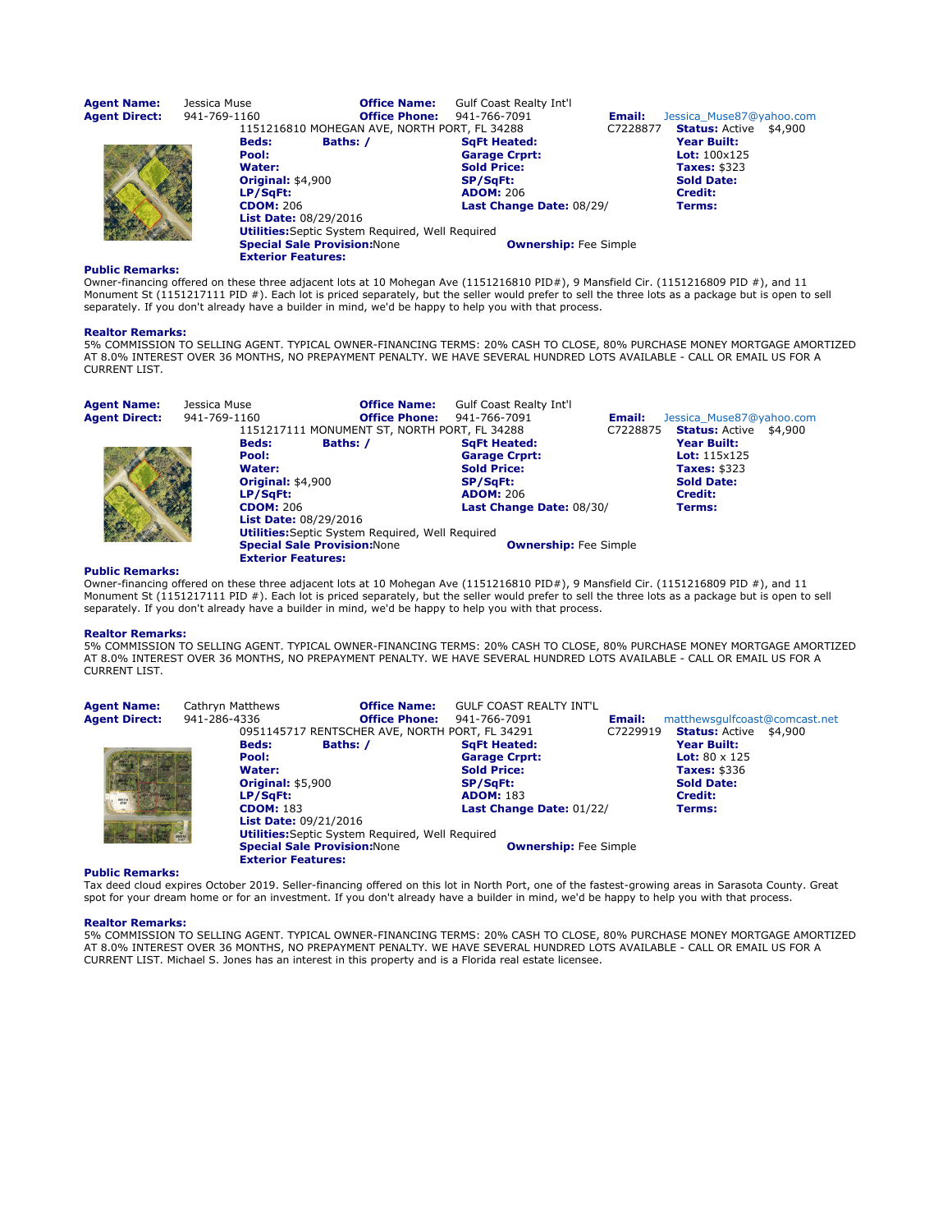| <b>Agent Name:</b>   | Jessica Muse                 | <b>Office Name:</b>                                     | <b>Gulf Coast Realty Int'l</b> |          |                               |
|----------------------|------------------------------|---------------------------------------------------------|--------------------------------|----------|-------------------------------|
| <b>Agent Direct:</b> | 941-769-1160                 | <b>Office Phone:</b>                                    | 941-766-7091                   | Email:   | Jessica Muse87@yahoo.com      |
|                      |                              | 1151216810 MOHEGAN AVE, NORTH PORT, FL 34288            |                                | C7228877 | <b>Status: Active \$4,900</b> |
|                      | <b>Beds:</b>                 | Baths: /                                                | <b>SqFt Heated:</b>            |          | Year Built:                   |
|                      | Pool:                        |                                                         | <b>Garage Crprt:</b>           |          | <b>Lot:</b> $100x125$         |
|                      | Water:                       |                                                         | <b>Sold Price:</b>             |          | <b>Taxes: \$323</b>           |
|                      | <b>Original: \$4,900</b>     |                                                         | SP/SqFt:                       |          | <b>Sold Date:</b>             |
|                      | LP/SqFt:                     |                                                         | <b>ADOM: 206</b>               |          | Credit:                       |
|                      | <b>CDOM: 206</b>             |                                                         | Last Change Date: 08/29/       |          | Terms:                        |
|                      | <b>List Date: 08/29/2016</b> |                                                         |                                |          |                               |
|                      |                              | <b>Utilities:</b> Septic System Required, Well Required |                                |          |                               |
|                      |                              | <b>Special Sale Provision: None</b>                     | <b>Ownership:</b> Fee Simple   |          |                               |
|                      | <b>Exterior Features:</b>    |                                                         |                                |          |                               |

Owner-financing offered on these three adjacent lots at 10 Mohegan Ave (1151216810 PID#), 9 Mansfield Cir. (1151216809 PID #), and 11 Monument St (1151217111 PID #). Each lot is priced separately, but the seller would prefer to sell the three lots as a package but is open to sell<br>separately. If you don't already have a builder in mind, we'd be happy to h

#### Realtor Remarks:

5% COMMISSION TO SELLING AGENT. TYPICAL OWNER-FINANCING TERMS: 20% CASH TO CLOSE, 80% PURCHASE MONEY MORTGAGE AMORTIZED AT 8.0% INTEREST OVER 36 MONTHS, NO PREPAYMENT PENALTY. WE HAVE SEVERAL HUNDRED LOTS AVAILABLE - CALL OR EMAIL US FOR A CURRENT LIST.

| <b>Agent Name:</b> | Jessica Muse |                              | <b>Office Name:</b>                                     | <b>Gulf Coast Realty Int'l</b> |          |                               |  |
|--------------------|--------------|------------------------------|---------------------------------------------------------|--------------------------------|----------|-------------------------------|--|
| Agent Direct:      | 941-769-1160 |                              | <b>Office Phone:</b>                                    | 941-766-7091                   | Email:   | Jessica Muse87@yahoo.com      |  |
|                    |              |                              | 1151217111 MONUMENT ST, NORTH PORT, FL 34288            |                                | C7228875 | <b>Status:</b> Active \$4,900 |  |
|                    |              | <b>Beds:</b>                 | Baths: /                                                | <b>SaFt Heated:</b>            |          | Year Built:                   |  |
|                    |              | Pool:                        |                                                         | <b>Garage Crprt:</b>           |          | <b>Lot:</b> $115x125$         |  |
|                    |              | Water:                       |                                                         | <b>Sold Price:</b>             |          | <b>Taxes: \$323</b>           |  |
|                    |              | <b>Original: \$4,900</b>     |                                                         | <b>SP/SqFt:</b>                |          | <b>Sold Date:</b>             |  |
|                    |              | LP/SqFt:                     |                                                         | <b>ADOM: 206</b>               |          | <b>Credit:</b>                |  |
|                    |              | <b>CDOM: 206</b>             |                                                         | Last Change Date: 08/30/       |          | Terms:                        |  |
|                    |              | <b>List Date: 08/29/2016</b> |                                                         |                                |          |                               |  |
|                    |              |                              | <b>Utilities:</b> Septic System Required, Well Required |                                |          |                               |  |
|                    |              |                              | <b>Special Sale Provision: None</b>                     | <b>Ownership:</b> Fee Simple   |          |                               |  |
|                    |              | <b>Exterior Features:</b>    |                                                         |                                |          |                               |  |

# Public Remarks:

Owner-financing offered on these three adjacent lots at 10 Mohegan Ave (1151216810 PID#), 9 Mansfield Cir. (1151216809 PID #), and 11 Monument St (1151217111 PID #). Each lot is priced separately, but the seller would prefer to sell the three lots as a package but is open to sell separately. If you don't already have a builder in mind, we'd be happy to help you with that process.

#### Realtor Remarks:

5% COMMISSION TO SELLING AGENT. TYPICAL OWNER-FINANCING TERMS: 20% CASH TO CLOSE, 80% PURCHASE MONEY MORTGAGE AMORTIZED AT 8.0% INTEREST OVER 36 MONTHS, NO PREPAYMENT PENALTY. WE HAVE SEVERAL HUNDRED LOTS AVAILABLE - CALL OR EMAIL US FOR A CURRENT LIST.

| <b>Agent Name:</b>   | Cathryn Matthews                    | <b>Office Name:</b>                                     | <b>GULF COAST REALTY INT'L</b> |          |                               |  |
|----------------------|-------------------------------------|---------------------------------------------------------|--------------------------------|----------|-------------------------------|--|
| <b>Agent Direct:</b> | 941-286-4336                        | <b>Office Phone:</b>                                    | 941-766-7091                   | Email:   | matthewsgulfcoast@comcast.net |  |
|                      |                                     | 0951145717 RENTSCHER AVE, NORTH PORT, FL 34291          |                                | C7229919 | <b>Status: Active \$4,900</b> |  |
|                      | <b>Beds:</b>                        | Baths: /                                                | <b>SqFt Heated:</b>            |          | <b>Year Built:</b>            |  |
|                      | Pool:                               |                                                         | <b>Garage Crprt:</b>           |          | <b>Lot:</b> $80 \times 125$   |  |
|                      | Water:                              |                                                         | <b>Sold Price:</b>             |          | <b>Taxes: \$336</b>           |  |
|                      | <b>Original: \$5,900</b>            |                                                         | <b>SP/SqFt:</b>                |          | <b>Sold Date:</b>             |  |
|                      | LP/SaFt:                            |                                                         | <b>ADOM: 183</b>               |          | <b>Credit:</b>                |  |
|                      | <b>CDOM: 183</b>                    |                                                         | Last Change Date: 01/22/       |          | Terms:                        |  |
|                      | <b>List Date: 09/21/2016</b>        |                                                         |                                |          |                               |  |
|                      |                                     | <b>Utilities:</b> Septic System Required, Well Required |                                |          |                               |  |
|                      | <b>Special Sale Provision: None</b> |                                                         | <b>Ownership:</b> Fee Simple   |          |                               |  |
|                      | <b>Exterior Features:</b>           |                                                         |                                |          |                               |  |

#### Public Remarks:

Tax deed cloud expires October 2019. Seller-financing offered on this lot in North Port, one of the fastest-growing areas in Sarasota County. Great spot for your dream home or for an investment. If you don't already have a builder in mind, we'd be happy to help you with that process.

#### Realtor Remarks: